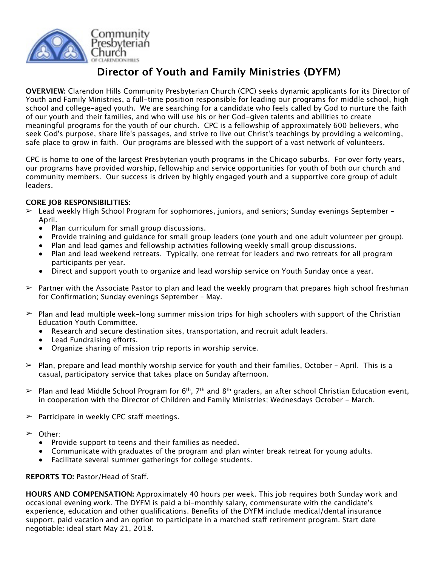

## **Director of Youth and Family Ministries (DYFM)**

**OVERVIEW:** Clarendon Hills Community Presbyterian Church (CPC) seeks dynamic applicants for its Director of Youth and Family Ministries, a full-time position responsible for leading our programs for middle school, high school and college-aged youth. We are searching for a candidate who feels called by God to nurture the faith of our youth and their families, and who will use his or her God-given talents and abilities to create meaningful programs for the youth of our church. CPC is a fellowship of approximately 600 believers, who seek God's purpose, share life's passages, and strive to live out Christ's teachings by providing a welcoming, safe place to grow in faith. Our programs are blessed with the support of a vast network of volunteers.

CPC is home to one of the largest Presbyterian youth programs in the Chicago suburbs. For over forty years, our programs have provided worship, fellowship and service opportunities for youth of both our church and community members. Our success is driven by highly engaged youth and a supportive core group of adult leaders.

## **CORE JOB RESPONSIBILITIES:**

- $\geq$  Lead weekly High School Program for sophomores, juniors, and seniors; Sunday evenings September April.
	- Plan curriculum for small group discussions.
	- Provide training and guidance for small group leaders (one youth and one adult volunteer per group).
	- Plan and lead games and fellowship activities following weekly small group discussions.
	- Plan and lead weekend retreats. Typically, one retreat for leaders and two retreats for all program participants per year.
	- Direct and support youth to organize and lead worship service on Youth Sunday once a year.
- $\geq$  Partner with the Associate Pastor to plan and lead the weekly program that prepares high school freshman for Confirmation; Sunday evenings September – May.
- $\triangleright$  Plan and lead multiple week-long summer mission trips for high schoolers with support of the Christian Education Youth Committee.
	- Research and secure destination sites, transportation, and recruit adult leaders.
	- Lead Fundraising efforts.
	- Organize sharing of mission trip reports in worship service.
- $\triangleright$  Plan, prepare and lead monthly worship service for youth and their families, October April. This is a casual, participatory service that takes place on Sunday afternoon.
- $\triangleright$  Plan and lead Middle School Program for 6<sup>th</sup>, 7<sup>th</sup> and 8<sup>th</sup> graders, an after school Christian Education event, in cooperation with the Director of Children and Family Ministries; Wednesdays October - March.
- $\geq$  Participate in weekly CPC staff meetings.
- ➢ Other:
	- Provide support to teens and their families as needed.
	- Communicate with graduates of the program and plan winter break retreat for young adults.
	- Facilitate several summer gatherings for college students.

## **REPORTS TO:** Pastor/Head of Staf.

**HOURS AND COMPENSATION:** Approximately 40 hours per week. This job requires both Sunday work and occasional evening work. The DYFM is paid a bi-monthly salary, commensurate with the candidate's experience, education and other qualifications. Benefits of the DYFM include medical/dental insurance support, paid vacation and an option to participate in a matched staff retirement program. Start date negotiable: ideal start May 21, 2018.